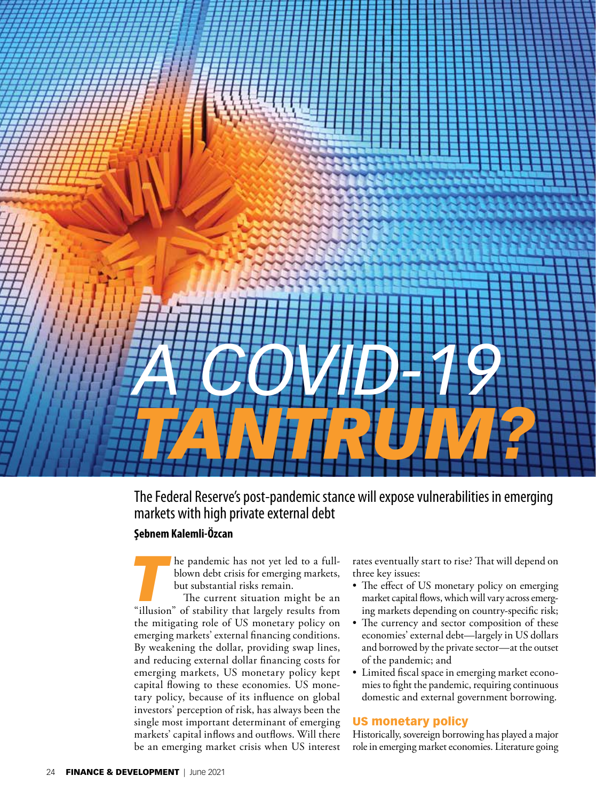

# The Federal Reserve's post-pandemic stance will expose vulnerabilities in emerging markets with high private external debt

## **Şebnem Kalemli-Özcan**

**The pandemic has not yet led to a full-**<br>blown debt crisis for emerging markets,<br>but substantial risks remain.<br>The current situation might be an<br>"illusion" of stability that largely results from blown debt crisis for emerging markets, but substantial risks remain.

The current situation might be an the mitigating role of US monetary policy on emerging markets' external financing conditions. By weakening the dollar, providing swap lines, and reducing external dollar financing costs for emerging markets, US monetary policy kept capital flowing to these economies. US monetary policy, because of its influence on global investors' perception of risk, has always been the single most important determinant of emerging markets' capital inflows and outflows. Will there be an emerging market crisis when US interest rates eventually start to rise? That will depend on three key issues:

- The effect of US monetary policy on emerging market capital flows, which will vary across emerging markets depending on country-specific risk;
- The currency and sector composition of these economies' external debt—largely in US dollars and borrowed by the private sector—at the outset of the pandemic; and
- Limited fiscal space in emerging market economies to fight the pandemic, requiring continuous domestic and external government borrowing.

### US monetary policy

Historically, sovereign borrowing has played a major role in emerging market economies. Literature going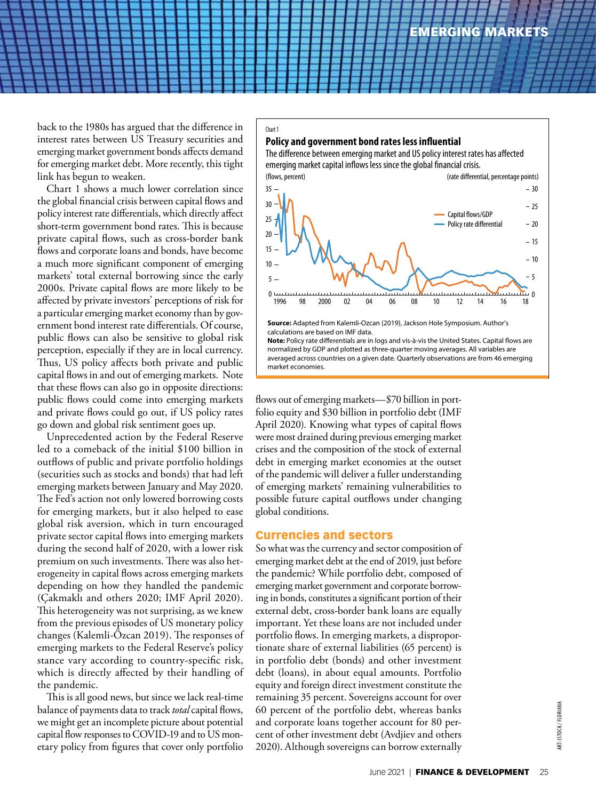back to the 1980s has argued that the difference in interest rates between US Treasury securities and emerging market government bonds affects demand for emerging market debt. More recently, this tight link has begun to weaken.

Chart 1 shows a much lower correlation since the global financial crisis between capital flows and policy interest rate differentials, which directly affect short-term government bond rates. This is because private capital flows, such as cross-border bank flows and corporate loans and bonds, have become a much more significant component of emerging markets' total external borrowing since the early 2000s. Private capital flows are more likely to be affected by private investors' perceptions of risk for a particular emerging market economy than by government bond interest rate differentials. Of course, public flows can also be sensitive to global risk perception, especially if they are in local currency. Thus, US policy affects both private and public capital flows in and out of emerging markets. Note that these flows can also go in opposite directions: public flows could come into emerging markets and private flows could go out, if US policy rates go down and global risk sentiment goes up.

Unprecedented action by the Federal Reserve led to a comeback of the initial \$100 billion in outflows of public and private portfolio holdings (securities such as stocks and bonds) that had left emerging markets between January and May 2020. The Fed's action not only lowered borrowing costs for emerging markets, but it also helped to ease global risk aversion, which in turn encouraged private sector capital flows into emerging markets during the second half of 2020, with a lower risk premium on such investments. There was also heterogeneity in capital flows across emerging markets depending on how they handled the pandemic (Çakmaklı and others 2020; IMF April 2020). This heterogeneity was not surprising, as we knew from the previous episodes of US monetary policy changes (Kalemli-Özcan 2019). The responses of emerging markets to the Federal Reserve's policy stance vary according to country-specific risk, which is directly affected by their handling of the pandemic.

This is all good news, but since we lack real-time balance of payments data to track *total* capital flows, we might get an incomplete picture about potential capital flow responses to COVID-19 and to US monetary policy from figures that cover only portfolio



Note: Policy rate differentials are in logs and vis-à-vis the United States. Capital flows are normalized by GDP and plotted as three-quarter moving averages. All variables are averaged across countries on a given date. Quarterly observations are from 46 emerging market economies.

flows out of emerging markets—\$70 billion in portfolio equity and \$30 billion in portfolio debt (IMF April 2020). Knowing what types of capital flows were most drained during previous emerging market crises and the composition of the stock of external debt in emerging market economies at the outset of the pandemic will deliver a fuller understanding of emerging markets' remaining vulnerabilities to possible future capital outflows under changing global conditions.

#### Currencies and sectors

Kalemli, 4/29

Chart 1

So what was the currency and sector composition of emerging market debt at the end of 2019, just before the pandemic? While portfolio debt, composed of emerging market government and corporate borrowing in bonds, constitutes a significant portion of their external debt, cross-border bank loans are equally important. Yet these loans are not included under portfolio flows. In emerging markets, a disproportionate share of external liabilities (65 percent) is in portfolio debt (bonds) and other investment debt (loans), in about equal amounts. Portfolio equity and foreign direct investment constitute the remaining 35 percent. Sovereigns account for over 60 percent of the portfolio debt, whereas banks and corporate loans together account for 80 percent of other investment debt (Avdjiev and others 2020). Although sovereigns can borrow externally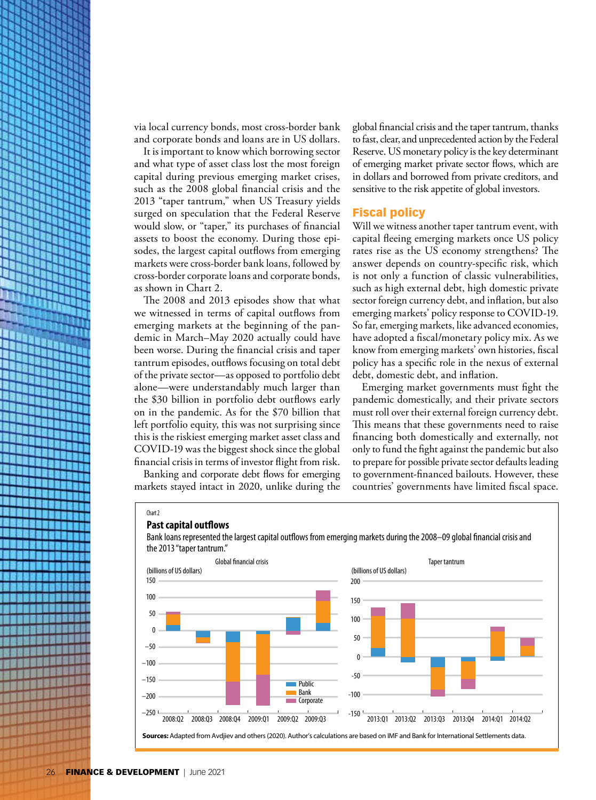via local currency bonds, most cross-border bank and corporate bonds and loans are in US dollars.

It is important to know which borrowing sector and what type of asset class lost the most foreign capital during previous emerging market crises, such as the 2008 global financial crisis and the 2013 "taper tantrum," when US Treasury yields surged on speculation that the Federal Reserve would slow, or "taper," its purchases of financial assets to boost the economy. During those episodes, the largest capital outflows from emerging markets were cross-border bank loans, followed by cross-border corporate loans and corporate bonds, as shown in Chart 2.

on in the pandemic. As for the \$70 billion that The 2008 and 2013 episodes show that what we witnessed in terms of capital outflows from emerging markets at the beginning of the pandemic in March–May 2020 actually could have been worse. During the financial crisis and taper tantrum episodes, outflows focusing on total debt of the private sector—as opposed to portfolio debt alone—were understandably much larger than the \$30 billion in portfolio debt outflows early left portfolio equity, this was not surprising since this is the riskiest emerging market asset class and COVID-19 was the biggest shock since the global financial crisis in terms of investor flight from risk.

> Banking and corporate debt flows for emerging markets stayed intact in 2020, unlike during the

global financial crisis and the taper tantrum, thanks to fast, clear, and unprecedented action by the Federal Reserve. US monetary policy is the key determinant of emerging market private sector flows, which are in dollars and borrowed from private creditors, and sensitive to the risk appetite of global investors.

#### Fiscal policy

Will we witness another taper tantrum event, with capital fleeing emerging markets once US policy rates rise as the US economy strengthens? The answer depends on country-specific risk, which is not only a function of classic vulnerabilities, such as high external debt, high domestic private sector foreign currency debt, and inflation, but also emerging markets' policy response to COVID-19. So far, emerging markets, like advanced economies, have adopted a fiscal/monetary policy mix. As we know from emerging markets' own histories, fiscal policy has a specific role in the nexus of external debt, domestic debt, and inflation.

Emerging market governments must fight the pandemic domestically, and their private sectors must roll over their external foreign currency debt. This means that these governments need to raise financing both domestically and externally, not only to fund the fight against the pandemic but also to prepare for possible private sector defaults leading to government-financed bailouts. However, these countries' governments have limited fiscal space.



#### **Past capital outflows**



Bank loans represented the largest capital outflows from emerging markets during the 2008–09 global financial crisis and the 2013 "taper tantrum."